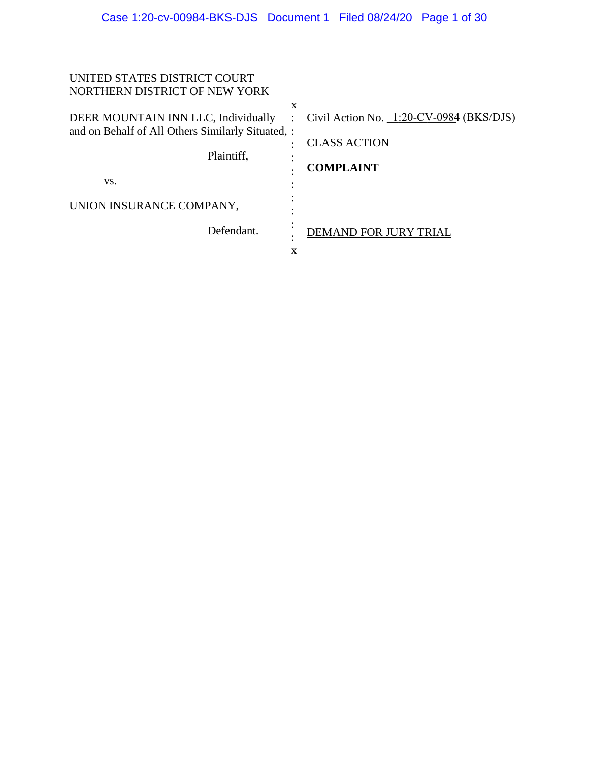| UNITED STATES DISTRICT COURT                                                                                  |                                                                                       |
|---------------------------------------------------------------------------------------------------------------|---------------------------------------------------------------------------------------|
| NORTHERN DISTRICT OF NEW YORK                                                                                 |                                                                                       |
| DEER MOUNTAIN INN LLC, Individually<br>and on Behalf of All Others Similarly Situated, :<br>Plaintiff.<br>VS. | Civil Action No. $1:20$ -CV-0984 (BKS/DJS)<br><b>CLASS ACTION</b><br><b>COMPLAINT</b> |
| UNION INSURANCE COMPANY,                                                                                      |                                                                                       |
| Defendant.                                                                                                    | DEMAND FOR JURY TRIAL<br>x                                                            |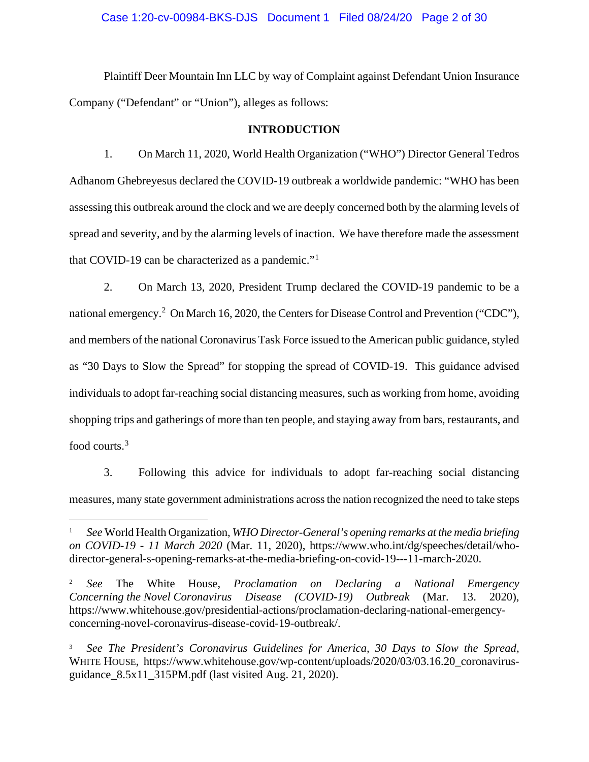#### Case 1:20-cv-00984-BKS-DJS Document 1 Filed 08/24/20 Page 2 of 30

Plaintiff Deer Mountain Inn LLC by way of Complaint against Defendant Union Insurance Company ("Defendant" or "Union"), alleges as follows:

#### **INTRODUCTION**

1. On March 11, 2020, World Health Organization ("WHO") Director General Tedros Adhanom Ghebreyesus declared the COVID-19 outbreak a worldwide pandemic: "WHO has been assessing this outbreak around the clock and we are deeply concerned both by the alarming levels of spread and severity, and by the alarming levels of inaction. We have therefore made the assessment that COVID-19 can be characterized as a pandemic."<sup>1</sup>

2. On March 13, 2020, President Trump declared the COVID-19 pandemic to be a national emergency.<sup>2</sup> On March 16, 2020, the Centers for Disease Control and Prevention ("CDC"), and members of the national Coronavirus Task Force issued to the American public guidance, styled as "30 Days to Slow the Spread" for stopping the spread of COVID-19. This guidance advised individuals to adopt far-reaching social distancing measures, such as working from home, avoiding shopping trips and gatherings of more than ten people, and staying away from bars, restaurants, and food courts.<sup>3</sup>

3. Following this advice for individuals to adopt far-reaching social distancing measures, many state government administrations across the nation recognized the need to take steps

<sup>1</sup> *See* World Health Organization, *WHO Director-General's opening remarks at the media briefing on COVID-19 - 11 March 2020* (Mar. 11, 2020), https://www.who.int/dg/speeches/detail/whodirector-general-s-opening-remarks-at-the-media-briefing-on-covid-19---11-march-2020.

<sup>2</sup> *See* The White House, *Proclamation on Declaring a National Emergency Concerning the Novel Coronavirus Disease (COVID-19) Outbreak* (Mar. 13. 2020), https://www.whitehouse.gov/presidential-actions/proclamation-declaring-national-emergencyconcerning-novel-coronavirus-disease-covid-19-outbreak/.

<sup>3</sup> *See The President's Coronavirus Guidelines for America, 30 Days to Slow the Spread,*  WHITE HOUSE, https://www.whitehouse.gov/wp-content/uploads/2020/03/03.16.20\_coronavirusguidance  $8.5x11$  315PM.pdf (last visited Aug. 21, 2020).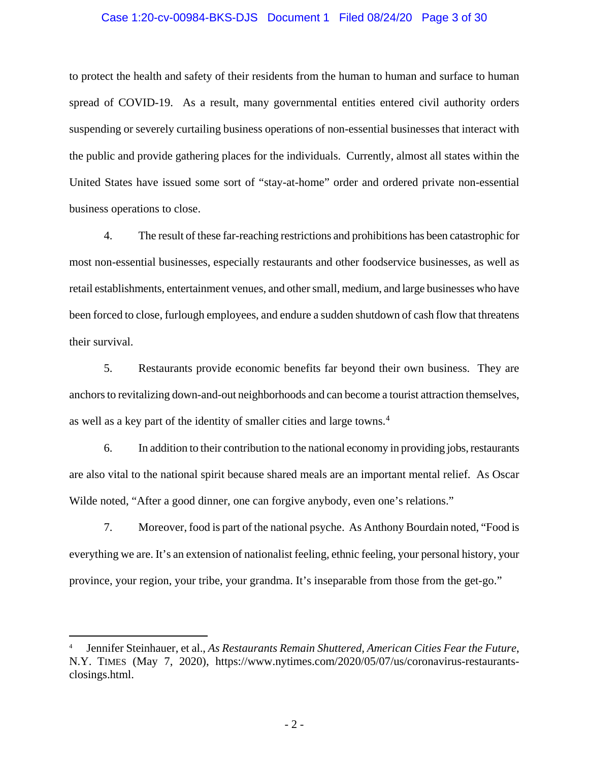#### Case 1:20-cv-00984-BKS-DJS Document 1 Filed 08/24/20 Page 3 of 30

to protect the health and safety of their residents from the human to human and surface to human spread of COVID-19. As a result, many governmental entities entered civil authority orders suspending or severely curtailing business operations of non-essential businesses that interact with the public and provide gathering places for the individuals. Currently, almost all states within the United States have issued some sort of "stay-at-home" order and ordered private non-essential business operations to close.

4. The result of these far-reaching restrictions and prohibitions has been catastrophic for most non-essential businesses, especially restaurants and other foodservice businesses, as well as retail establishments, entertainment venues, and other small, medium, and large businesses who have been forced to close, furlough employees, and endure a sudden shutdown of cash flow that threatens their survival.

5. Restaurants provide economic benefits far beyond their own business. They are anchors to revitalizing down-and-out neighborhoods and can become a tourist attraction themselves, as well as a key part of the identity of smaller cities and large towns.<sup>4</sup>

6. In addition to their contribution to the national economy in providing jobs, restaurants are also vital to the national spirit because shared meals are an important mental relief. As Oscar Wilde noted, "After a good dinner, one can forgive anybody, even one's relations."

7. Moreover, food is part of the national psyche. As Anthony Bourdain noted, "Food is everything we are. It's an extension of nationalist feeling, ethnic feeling, your personal history, your province, your region, your tribe, your grandma. It's inseparable from those from the get-go."

<sup>4</sup> Jennifer Steinhauer, et al., *As Restaurants Remain Shuttered, American Cities Fear the Future*, N.Y. TIMES (May 7, 2020), https://www.nytimes.com/2020/05/07/us/coronavirus-restaurantsclosings.html.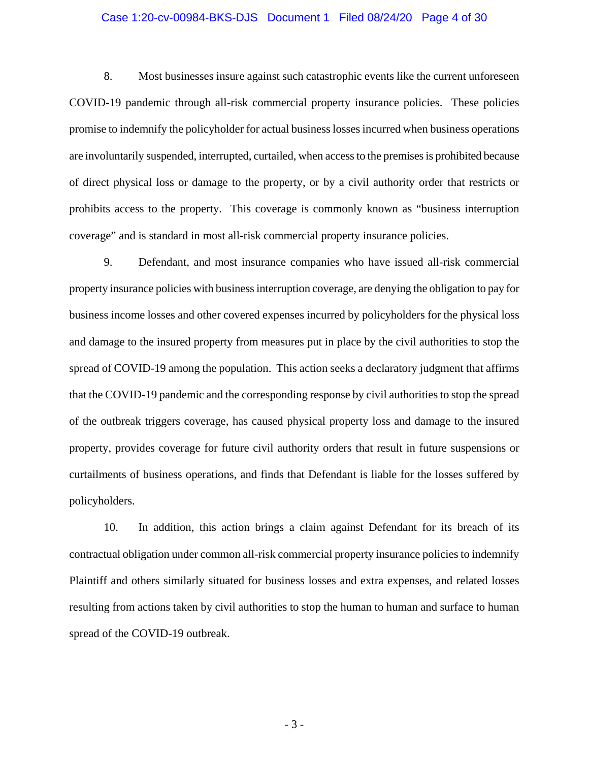#### Case 1:20-cv-00984-BKS-DJS Document 1 Filed 08/24/20 Page 4 of 30

8. Most businesses insure against such catastrophic events like the current unforeseen COVID-19 pandemic through all-risk commercial property insurance policies. These policies promise to indemnify the policyholder for actual business losses incurred when business operations are involuntarily suspended, interrupted, curtailed, when access to the premises is prohibited because of direct physical loss or damage to the property, or by a civil authority order that restricts or prohibits access to the property. This coverage is commonly known as "business interruption coverage" and is standard in most all-risk commercial property insurance policies.

9. Defendant, and most insurance companies who have issued all-risk commercial property insurance policies with business interruption coverage, are denying the obligation to pay for business income losses and other covered expenses incurred by policyholders for the physical loss and damage to the insured property from measures put in place by the civil authorities to stop the spread of COVID-19 among the population. This action seeks a declaratory judgment that affirms that the COVID-19 pandemic and the corresponding response by civil authorities to stop the spread of the outbreak triggers coverage, has caused physical property loss and damage to the insured property, provides coverage for future civil authority orders that result in future suspensions or curtailments of business operations, and finds that Defendant is liable for the losses suffered by policyholders.

10. In addition, this action brings a claim against Defendant for its breach of its contractual obligation under common all-risk commercial property insurance policies to indemnify Plaintiff and others similarly situated for business losses and extra expenses, and related losses resulting from actions taken by civil authorities to stop the human to human and surface to human spread of the COVID-19 outbreak.

- 3 -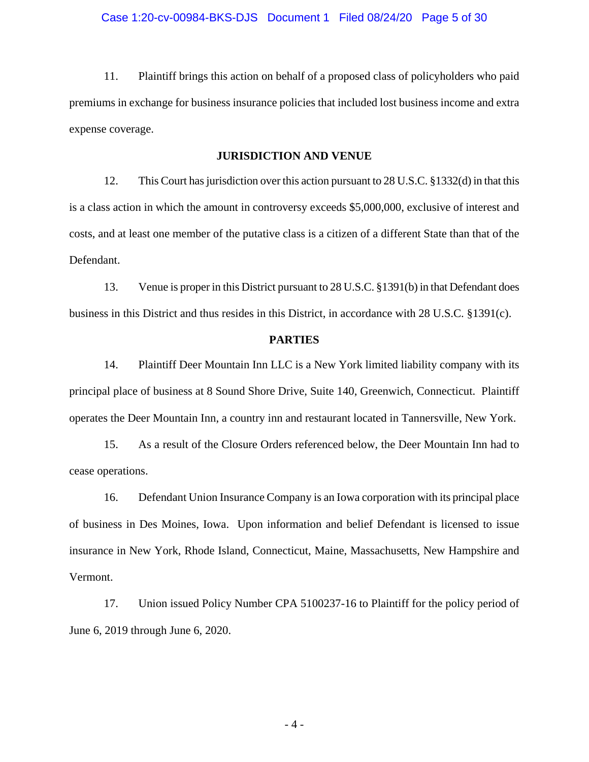11. Plaintiff brings this action on behalf of a proposed class of policyholders who paid premiums in exchange for business insurance policies that included lost business income and extra expense coverage.

# **JURISDICTION AND VENUE**

12. This Court has jurisdiction over this action pursuant to 28 U.S.C. §1332(d) in that this is a class action in which the amount in controversy exceeds \$5,000,000, exclusive of interest and costs, and at least one member of the putative class is a citizen of a different State than that of the Defendant.

13. Venue is proper in this District pursuant to 28 U.S.C. §1391(b) in that Defendant does business in this District and thus resides in this District, in accordance with 28 U.S.C. §1391(c).

### **PARTIES**

14. Plaintiff Deer Mountain Inn LLC is a New York limited liability company with its principal place of business at 8 Sound Shore Drive, Suite 140, Greenwich, Connecticut. Plaintiff operates the Deer Mountain Inn, a country inn and restaurant located in Tannersville, New York.

15. As a result of the Closure Orders referenced below, the Deer Mountain Inn had to cease operations.

16. Defendant Union Insurance Company is an Iowa corporation with its principal place of business in Des Moines, Iowa. Upon information and belief Defendant is licensed to issue insurance in New York, Rhode Island, Connecticut, Maine, Massachusetts, New Hampshire and Vermont.

17. Union issued Policy Number CPA 5100237-16 to Plaintiff for the policy period of June 6, 2019 through June 6, 2020.

- 4 -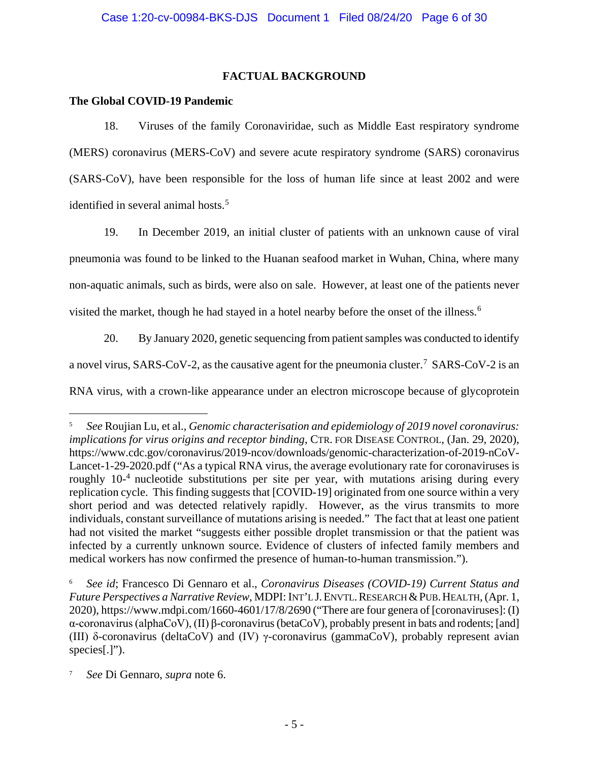# **FACTUAL BACKGROUND**

# **The Global COVID-19 Pandemic**

18. Viruses of the family Coronaviridae, such as Middle East respiratory syndrome (MERS) coronavirus (MERS-CoV) and severe acute respiratory syndrome (SARS) coronavirus (SARS-CoV), have been responsible for the loss of human life since at least 2002 and were identified in several animal hosts.<sup>5</sup>

19. In December 2019, an initial cluster of patients with an unknown cause of viral pneumonia was found to be linked to the Huanan seafood market in Wuhan, China, where many non-aquatic animals, such as birds, were also on sale. However, at least one of the patients never visited the market, though he had stayed in a hotel nearby before the onset of the illness.<sup>6</sup>

20. By January 2020, genetic sequencing from patient samples was conducted to identify

a novel virus, SARS-CoV-2, as the causative agent for the pneumonia cluster.<sup>7</sup> SARS-CoV-2 is an

RNA virus, with a crown-like appearance under an electron microscope because of glycoprotein

<sup>5</sup> *See* Roujian Lu, et al., *Genomic characterisation and epidemiology of 2019 novel coronavirus: implications for virus origins and receptor binding*, CTR. FOR DISEASE CONTROL, (Jan. 29, 2020), https://www.cdc.gov/coronavirus/2019-ncov/downloads/genomic-characterization-of-2019-nCoV-Lancet-1-29-2020.pdf ("As a typical RNA virus, the average evolutionary rate for coronaviruses is roughly 10<sup>-4</sup> nucleotide substitutions per site per year, with mutations arising during every replication cycle. This finding suggests that [COVID-19] originated from one source within a very short period and was detected relatively rapidly. However, as the virus transmits to more individuals, constant surveillance of mutations arising is needed." The fact that at least one patient had not visited the market "suggests either possible droplet transmission or that the patient was infected by a currently unknown source. Evidence of clusters of infected family members and medical workers has now confirmed the presence of human-to-human transmission.").

<sup>6</sup> *See id*; Francesco Di Gennaro et al., *Coronavirus Diseases (COVID-19) Current Status and Future Perspectives a Narrative Review*, MDPI: INT'L J.ENVTL.RESEARCH&PUB.HEALTH, (Apr. 1, 2020), https://www.mdpi.com/1660-4601/17/8/2690 ("There are four genera of [coronaviruses]: (I) α-coronavirus (alphaCoV), (II) β-coronavirus (betaCoV), probably present in bats and rodents; [and] (III) δ-coronavirus (deltaCoV) and (IV) γ-coronavirus (gammaCoV), probably represent avian species[.]").

<sup>7</sup> *See* Di Gennaro, *supra* note 6.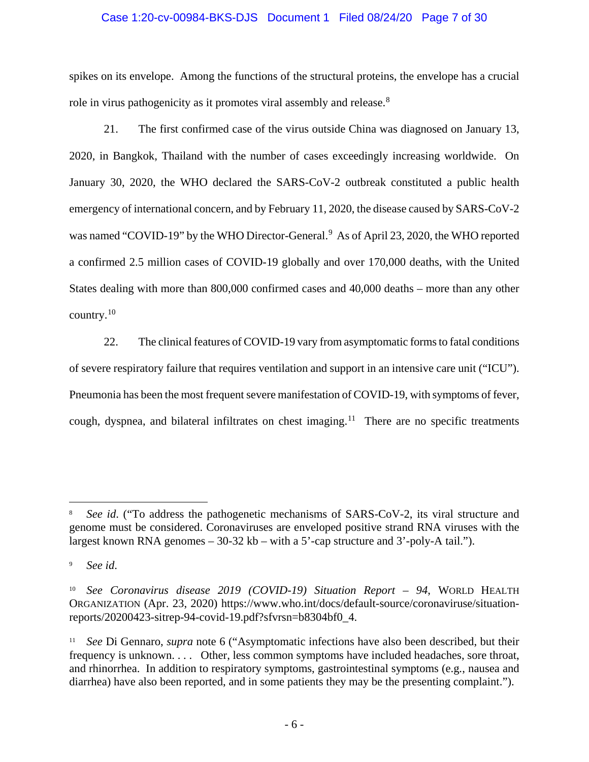#### Case 1:20-cv-00984-BKS-DJS Document 1 Filed 08/24/20 Page 7 of 30

spikes on its envelope. Among the functions of the structural proteins, the envelope has a crucial role in virus pathogenicity as it promotes viral assembly and release.<sup>8</sup>

21. The first confirmed case of the virus outside China was diagnosed on January 13, 2020, in Bangkok, Thailand with the number of cases exceedingly increasing worldwide. On January 30, 2020, the WHO declared the SARS-CoV-2 outbreak constituted a public health emergency of international concern, and by February 11, 2020, the disease caused by SARS-CoV-2 was named "COVID-19" by the WHO Director-General.<sup>9</sup> As of April 23, 2020, the WHO reported a confirmed 2.5 million cases of COVID-19 globally and over 170,000 deaths, with the United States dealing with more than 800,000 confirmed cases and 40,000 deaths – more than any other country.<sup>10</sup>

22. The clinical features of COVID-19 vary from asymptomatic forms to fatal conditions of severe respiratory failure that requires ventilation and support in an intensive care unit ("ICU"). Pneumonia has been the most frequent severe manifestation of COVID-19, with symptoms of fever, cough, dyspnea, and bilateral infiltrates on chest imaging.<sup>11</sup> There are no specific treatments

See id. ("To address the pathogenetic mechanisms of SARS-CoV-2, its viral structure and genome must be considered. Coronaviruses are enveloped positive strand RNA viruses with the largest known RNA genomes  $-30-32$  kb – with a 5'-cap structure and 3'-poly-A tail.").

<sup>9</sup> *See id*.

<sup>10</sup> *See Coronavirus disease 2019 (COVID-19) Situation Report – 94*, WORLD HEALTH ORGANIZATION (Apr. 23, 2020) https://www.who.int/docs/default-source/coronaviruse/situationreports/20200423-sitrep-94-covid-19.pdf?sfvrsn=b8304bf0\_4.

<sup>11</sup> *See* Di Gennaro, *supra* note 6 ("Asymptomatic infections have also been described, but their frequency is unknown. . . . Other, less common symptoms have included headaches, sore throat, and rhinorrhea. In addition to respiratory symptoms, gastrointestinal symptoms (e.g*.*, nausea and diarrhea) have also been reported, and in some patients they may be the presenting complaint.").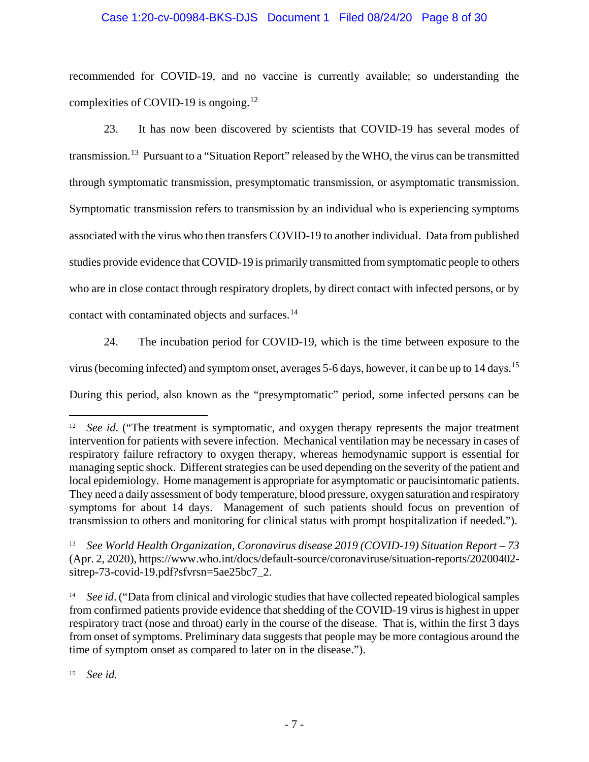# Case 1:20-cv-00984-BKS-DJS Document 1 Filed 08/24/20 Page 8 of 30

recommended for COVID-19, and no vaccine is currently available; so understanding the complexities of COVID-19 is ongoing.<sup>12</sup>

23. It has now been discovered by scientists that COVID-19 has several modes of transmission.13 Pursuant to a "Situation Report" released by the WHO, the virus can be transmitted through symptomatic transmission, presymptomatic transmission, or asymptomatic transmission. Symptomatic transmission refers to transmission by an individual who is experiencing symptoms associated with the virus who then transfers COVID-19 to another individual. Data from published studies provide evidence that COVID-19 is primarily transmitted from symptomatic people to others who are in close contact through respiratory droplets, by direct contact with infected persons, or by contact with contaminated objects and surfaces.<sup>14</sup>

24. The incubation period for COVID-19, which is the time between exposure to the virus (becoming infected) and symptom onset, averages 5-6 days, however, it can be up to 14 days.15 During this period, also known as the "presymptomatic" period, some infected persons can be

<sup>15</sup> *See id.*

See id. ("The treatment is symptomatic, and oxygen therapy represents the major treatment intervention for patients with severe infection. Mechanical ventilation may be necessary in cases of respiratory failure refractory to oxygen therapy, whereas hemodynamic support is essential for managing septic shock. Different strategies can be used depending on the severity of the patient and local epidemiology. Home management is appropriate for asymptomatic or paucisintomatic patients. They need a daily assessment of body temperature, blood pressure, oxygen saturation and respiratory symptoms for about 14 days. Management of such patients should focus on prevention of transmission to others and monitoring for clinical status with prompt hospitalization if needed.").

<sup>13</sup> *See World Health Organization, Coronavirus disease 2019 (COVID-19) Situation Report – 73*  (Apr. 2, 2020), https://www.who.int/docs/default-source/coronaviruse/situation-reports/20200402 sitrep-73-covid-19.pdf?sfvrsn=5ae25bc7\_2.

<sup>&</sup>lt;sup>14</sup> *See id.* ("Data from clinical and virologic studies that have collected repeated biological samples from confirmed patients provide evidence that shedding of the COVID-19 virus is highest in upper respiratory tract (nose and throat) early in the course of the disease. That is, within the first 3 days from onset of symptoms. Preliminary data suggests that people may be more contagious around the time of symptom onset as compared to later on in the disease.").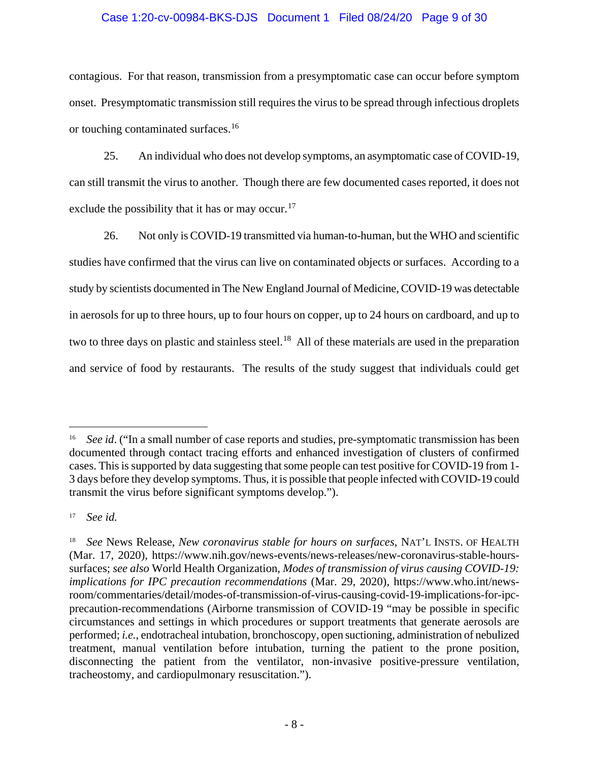#### Case 1:20-cv-00984-BKS-DJS Document 1 Filed 08/24/20 Page 9 of 30

contagious. For that reason, transmission from a presymptomatic case can occur before symptom onset. Presymptomatic transmission still requires the virus to be spread through infectious droplets or touching contaminated surfaces.<sup>16</sup>

25. An individual who does not develop symptoms, an asymptomatic case of COVID-19, can still transmit the virus to another. Though there are few documented cases reported, it does not exclude the possibility that it has or may occur.<sup>17</sup>

26. Not only is COVID-19 transmitted via human-to-human, but the WHO and scientific studies have confirmed that the virus can live on contaminated objects or surfaces. According to a study by scientists documented in The New England Journal of Medicine, COVID-19 was detectable in aerosols for up to three hours, up to four hours on copper, up to 24 hours on cardboard, and up to two to three days on plastic and stainless steel.<sup>18</sup> All of these materials are used in the preparation and service of food by restaurants. The results of the study suggest that individuals could get

<sup>&</sup>lt;sup>16</sup> *See id.* ("In a small number of case reports and studies, pre-symptomatic transmission has been documented through contact tracing efforts and enhanced investigation of clusters of confirmed cases. This is supported by data suggesting that some people can test positive for COVID-19 from 1- 3 days before they develop symptoms. Thus, it is possible that people infected with COVID-19 could transmit the virus before significant symptoms develop.").

<sup>17</sup> *See id.*

<sup>18</sup> *See* News Release, *New coronavirus stable for hours on surfaces*, NAT'L INSTS. OF HEALTH (Mar. 17, 2020), https://www.nih.gov/news-events/news-releases/new-coronavirus-stable-hourssurfaces; *see also* World Health Organization, *Modes of transmission of virus causing COVID-19: implications for IPC precaution recommendations* (Mar. 29, 2020), https://www.who.int/newsroom/commentaries/detail/modes-of-transmission-of-virus-causing-covid-19-implications-for-ipcprecaution-recommendations (Airborne transmission of COVID-19 "may be possible in specific circumstances and settings in which procedures or support treatments that generate aerosols are performed; *i.e.*, endotracheal intubation, bronchoscopy, open suctioning, administration of nebulized treatment, manual ventilation before intubation, turning the patient to the prone position, disconnecting the patient from the ventilator, non-invasive positive-pressure ventilation, tracheostomy, and cardiopulmonary resuscitation.").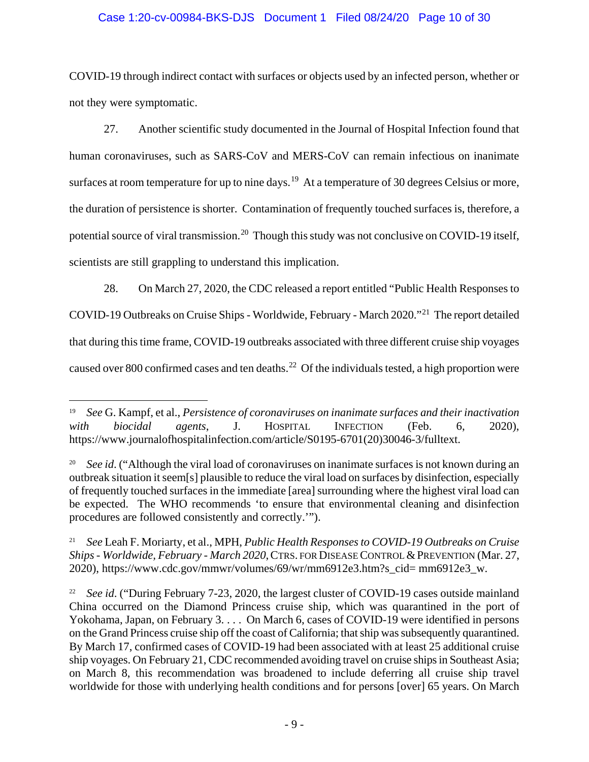# Case 1:20-cv-00984-BKS-DJS Document 1 Filed 08/24/20 Page 10 of 30

COVID-19 through indirect contact with surfaces or objects used by an infected person, whether or not they were symptomatic.

27. Another scientific study documented in the Journal of Hospital Infection found that human coronaviruses, such as SARS-CoV and MERS-CoV can remain infectious on inanimate surfaces at room temperature for up to nine days.<sup>19</sup> At a temperature of 30 degrees Celsius or more, the duration of persistence is shorter. Contamination of frequently touched surfaces is, therefore, a potential source of viral transmission.<sup>20</sup> Though this study was not conclusive on COVID-19 itself, scientists are still grappling to understand this implication.

28. On March 27, 2020, the CDC released a report entitled "Public Health Responses to COVID-19 Outbreaks on Cruise Ships - Worldwide, February - March 2020."21 The report detailed that during this time frame, COVID-19 outbreaks associated with three different cruise ship voyages caused over 800 confirmed cases and ten deaths.<sup>22</sup> Of the individuals tested, a high proportion were

<sup>19</sup> *See* G. Kampf, et al., *Persistence of coronaviruses on inanimate surfaces and their inactivation with biocidal agents*, J. HOSPITAL INFECTION (Feb. 6, 2020), https://www.journalofhospitalinfection.com/article/S0195-6701(20)30046-3/fulltext.

<sup>20</sup> *See id*. ("Although the viral load of coronaviruses on inanimate surfaces is not known during an outbreak situation it seem[s] plausible to reduce the viral load on surfaces by disinfection, especially of frequently touched surfaces in the immediate [area] surrounding where the highest viral load can be expected. The WHO recommends 'to ensure that environmental cleaning and disinfection procedures are followed consistently and correctly.'").

<sup>21</sup> *See* Leah F. Moriarty, et al., MPH, *Public Health Responses to COVID-19 Outbreaks on Cruise Ships - Worldwide, February - March 2020, CTRS. FOR DISEASE CONTROL & PREVENTION (Mar. 27,* 2020), https://www.cdc.gov/mmwr/volumes/69/wr/mm6912e3.htm?s\_cid= mm6912e3\_w.

<sup>&</sup>lt;sup>22</sup> *See id.* ("During February 7-23, 2020, the largest cluster of COVID-19 cases outside mainland China occurred on the Diamond Princess cruise ship, which was quarantined in the port of Yokohama, Japan, on February 3. . . . On March 6, cases of COVID-19 were identified in persons on the Grand Princess cruise ship off the coast of California; that ship was subsequently quarantined. By March 17, confirmed cases of COVID-19 had been associated with at least 25 additional cruise ship voyages. On February 21, CDC recommended avoiding travel on cruise ships in Southeast Asia; on March 8, this recommendation was broadened to include deferring all cruise ship travel worldwide for those with underlying health conditions and for persons [over] 65 years. On March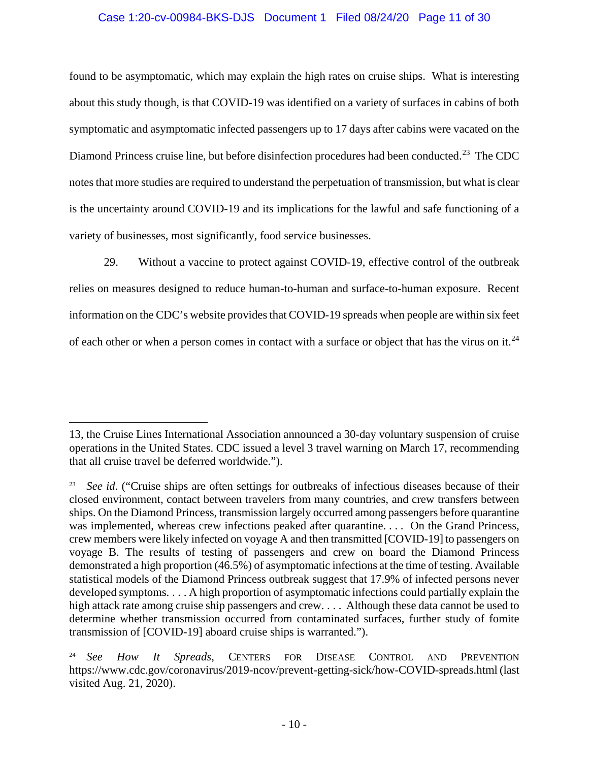#### Case 1:20-cv-00984-BKS-DJS Document 1 Filed 08/24/20 Page 11 of 30

found to be asymptomatic, which may explain the high rates on cruise ships. What is interesting about this study though, is that COVID-19 was identified on a variety of surfaces in cabins of both symptomatic and asymptomatic infected passengers up to 17 days after cabins were vacated on the Diamond Princess cruise line, but before disinfection procedures had been conducted.<sup>23</sup> The CDC notes that more studies are required to understand the perpetuation of transmission, but what is clear is the uncertainty around COVID-19 and its implications for the lawful and safe functioning of a variety of businesses, most significantly, food service businesses.

29. Without a vaccine to protect against COVID-19, effective control of the outbreak relies on measures designed to reduce human-to-human and surface-to-human exposure. Recent information on the CDC's website provides that COVID-19 spreads when people are within six feet of each other or when a person comes in contact with a surface or object that has the virus on it.<sup>24</sup>

<sup>13,</sup> the Cruise Lines International Association announced a 30-day voluntary suspension of cruise operations in the United States. CDC issued a level 3 travel warning on March 17, recommending that all cruise travel be deferred worldwide.").

See id. ("Cruise ships are often settings for outbreaks of infectious diseases because of their closed environment, contact between travelers from many countries, and crew transfers between ships. On the Diamond Princess, transmission largely occurred among passengers before quarantine was implemented, whereas crew infections peaked after quarantine. . . . On the Grand Princess, crew members were likely infected on voyage A and then transmitted [COVID-19] to passengers on voyage B. The results of testing of passengers and crew on board the Diamond Princess demonstrated a high proportion (46.5%) of asymptomatic infections at the time of testing. Available statistical models of the Diamond Princess outbreak suggest that 17.9% of infected persons never developed symptoms. . . . A high proportion of asymptomatic infections could partially explain the high attack rate among cruise ship passengers and crew. . . . Although these data cannot be used to determine whether transmission occurred from contaminated surfaces, further study of fomite transmission of [COVID-19] aboard cruise ships is warranted.").

<sup>24</sup> *See How It Spreads*, CENTERS FOR DISEASE CONTROL AND PREVENTION https://www.cdc.gov/coronavirus/2019-ncov/prevent-getting-sick/how-COVID-spreads.html (last visited Aug. 21, 2020).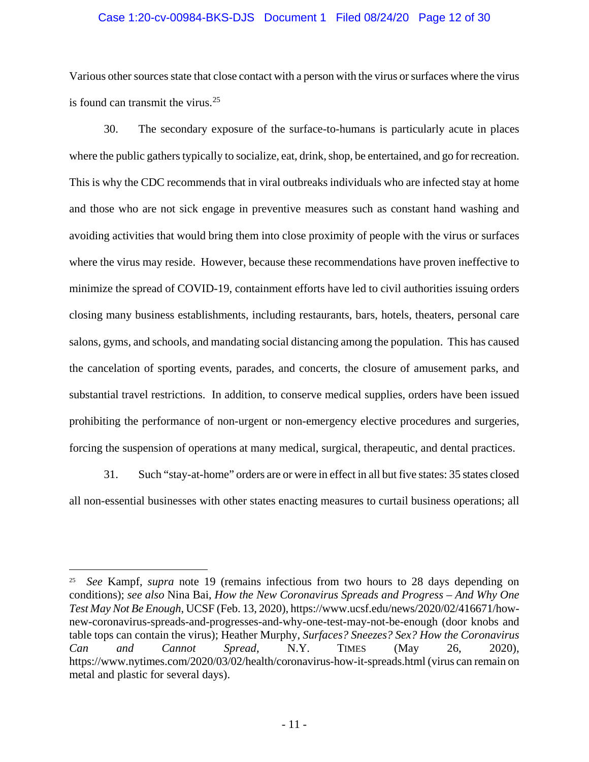#### Case 1:20-cv-00984-BKS-DJS Document 1 Filed 08/24/20 Page 12 of 30

Various other sources state that close contact with a person with the virus or surfaces where the virus is found can transmit the virus. $25$ 

30. The secondary exposure of the surface-to-humans is particularly acute in places where the public gathers typically to socialize, eat, drink, shop, be entertained, and go for recreation. This is why the CDC recommends that in viral outbreaks individuals who are infected stay at home and those who are not sick engage in preventive measures such as constant hand washing and avoiding activities that would bring them into close proximity of people with the virus or surfaces where the virus may reside. However, because these recommendations have proven ineffective to minimize the spread of COVID-19, containment efforts have led to civil authorities issuing orders closing many business establishments, including restaurants, bars, hotels, theaters, personal care salons, gyms, and schools, and mandating social distancing among the population. This has caused the cancelation of sporting events, parades, and concerts, the closure of amusement parks, and substantial travel restrictions. In addition, to conserve medical supplies, orders have been issued prohibiting the performance of non-urgent or non-emergency elective procedures and surgeries, forcing the suspension of operations at many medical, surgical, therapeutic, and dental practices.

31. Such "stay-at-home" orders are or were in effect in all but five states: 35 states closed all non-essential businesses with other states enacting measures to curtail business operations; all

<sup>25</sup> *See* Kampf, *supra* note 19 (remains infectious from two hours to 28 days depending on conditions); *see also* Nina Bai, *How the New Coronavirus Spreads and Progress – And Why One Test May Not Be Enough*, UCSF (Feb. 13, 2020), https://www.ucsf.edu/news/2020/02/416671/hownew-coronavirus-spreads-and-progresses-and-why-one-test-may-not-be-enough (door knobs and table tops can contain the virus); Heather Murphy, *Surfaces? Sneezes? Sex? How the Coronavirus Can and Cannot Spread*, N.Y. TIMES (May 26, 2020), https://www.nytimes.com/2020/03/02/health/coronavirus-how-it-spreads.html (virus can remain on metal and plastic for several days).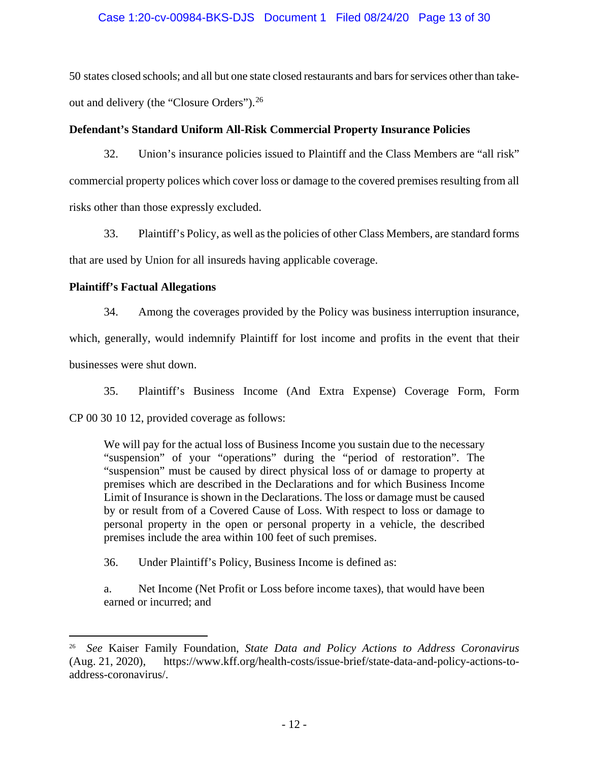# Case 1:20-cv-00984-BKS-DJS Document 1 Filed 08/24/20 Page 13 of 30

50 states closed schools; and all but one state closed restaurants and bars for services other than takeout and delivery (the "Closure Orders").<sup>26</sup>

# **Defendant's Standard Uniform All-Risk Commercial Property Insurance Policies**

32. Union's insurance policies issued to Plaintiff and the Class Members are "all risk" commercial property polices which cover loss or damage to the covered premises resulting from all risks other than those expressly excluded.

33. Plaintiff's Policy, as well as the policies of other Class Members, are standard forms that are used by Union for all insureds having applicable coverage.

# **Plaintiff's Factual Allegations**

 $\overline{a}$ 

34. Among the coverages provided by the Policy was business interruption insurance,

which, generally, would indemnify Plaintiff for lost income and profits in the event that their businesses were shut down.

35. Plaintiff's Business Income (And Extra Expense) Coverage Form, Form CP 00 30 10 12, provided coverage as follows:

We will pay for the actual loss of Business Income you sustain due to the necessary "suspension" of your "operations" during the "period of restoration". The "suspension" must be caused by direct physical loss of or damage to property at premises which are described in the Declarations and for which Business Income Limit of Insurance is shown in the Declarations. The loss or damage must be caused by or result from of a Covered Cause of Loss. With respect to loss or damage to personal property in the open or personal property in a vehicle, the described premises include the area within 100 feet of such premises.

36. Under Plaintiff's Policy, Business Income is defined as:

a. Net Income (Net Profit or Loss before income taxes), that would have been earned or incurred; and

<sup>26</sup> *See* Kaiser Family Foundation, *State Data and Policy Actions to Address Coronavirus*  (Aug. 21, 2020), https://www.kff.org/health-costs/issue-brief/state-data-and-policy-actions-toaddress-coronavirus/.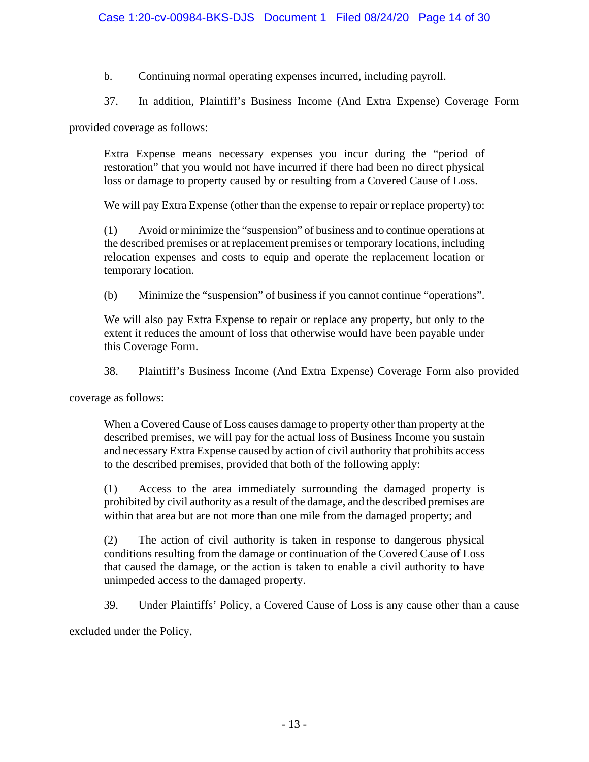b. Continuing normal operating expenses incurred, including payroll.

37. In addition, Plaintiff's Business Income (And Extra Expense) Coverage Form

provided coverage as follows:

Extra Expense means necessary expenses you incur during the "period of restoration" that you would not have incurred if there had been no direct physical loss or damage to property caused by or resulting from a Covered Cause of Loss.

We will pay Extra Expense (other than the expense to repair or replace property) to:

(1) Avoid or minimize the "suspension" of business and to continue operations at the described premises or at replacement premises or temporary locations, including relocation expenses and costs to equip and operate the replacement location or temporary location.

(b) Minimize the "suspension" of business if you cannot continue "operations".

We will also pay Extra Expense to repair or replace any property, but only to the extent it reduces the amount of loss that otherwise would have been payable under this Coverage Form.

38. Plaintiff's Business Income (And Extra Expense) Coverage Form also provided

coverage as follows:

When a Covered Cause of Loss causes damage to property other than property at the described premises, we will pay for the actual loss of Business Income you sustain and necessary Extra Expense caused by action of civil authority that prohibits access to the described premises, provided that both of the following apply:

(1) Access to the area immediately surrounding the damaged property is prohibited by civil authority as a result of the damage, and the described premises are within that area but are not more than one mile from the damaged property; and

(2) The action of civil authority is taken in response to dangerous physical conditions resulting from the damage or continuation of the Covered Cause of Loss that caused the damage, or the action is taken to enable a civil authority to have unimpeded access to the damaged property.

39. Under Plaintiffs' Policy, a Covered Cause of Loss is any cause other than a cause

excluded under the Policy.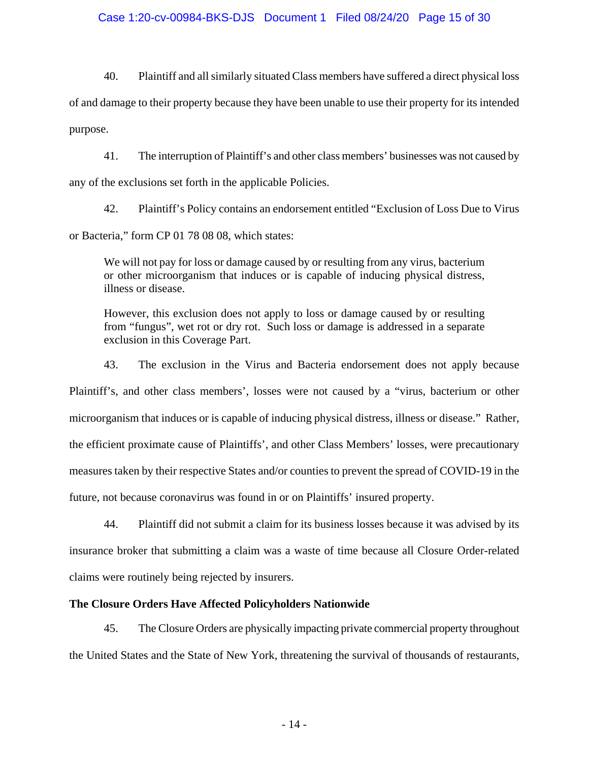#### Case 1:20-cv-00984-BKS-DJS Document 1 Filed 08/24/20 Page 15 of 30

40. Plaintiff and all similarly situated Class members have suffered a direct physical loss of and damage to their property because they have been unable to use their property for its intended purpose.

41. The interruption of Plaintiff's and other class members' businesses was not caused by any of the exclusions set forth in the applicable Policies.

42. Plaintiff's Policy contains an endorsement entitled "Exclusion of Loss Due to Virus or Bacteria," form CP 01 78 08 08, which states:

We will not pay for loss or damage caused by or resulting from any virus, bacterium or other microorganism that induces or is capable of inducing physical distress, illness or disease.

However, this exclusion does not apply to loss or damage caused by or resulting from "fungus", wet rot or dry rot. Such loss or damage is addressed in a separate exclusion in this Coverage Part.

43. The exclusion in the Virus and Bacteria endorsement does not apply because Plaintiff's, and other class members', losses were not caused by a "virus, bacterium or other microorganism that induces or is capable of inducing physical distress, illness or disease." Rather, the efficient proximate cause of Plaintiffs', and other Class Members' losses, were precautionary measures taken by their respective States and/or counties to prevent the spread of COVID-19 in the future, not because coronavirus was found in or on Plaintiffs' insured property.

44. Plaintiff did not submit a claim for its business losses because it was advised by its insurance broker that submitting a claim was a waste of time because all Closure Order-related claims were routinely being rejected by insurers.

# **The Closure Orders Have Affected Policyholders Nationwide**

45. The Closure Orders are physically impacting private commercial property throughout the United States and the State of New York, threatening the survival of thousands of restaurants,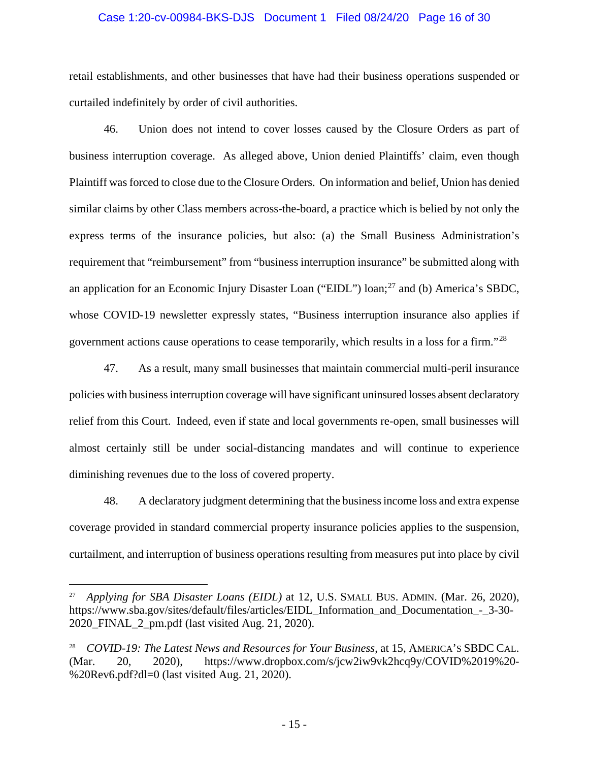#### Case 1:20-cv-00984-BKS-DJS Document 1 Filed 08/24/20 Page 16 of 30

retail establishments, and other businesses that have had their business operations suspended or curtailed indefinitely by order of civil authorities.

46. Union does not intend to cover losses caused by the Closure Orders as part of business interruption coverage. As alleged above, Union denied Plaintiffs' claim, even though Plaintiff was forced to close due to the Closure Orders. On information and belief, Union has denied similar claims by other Class members across-the-board, a practice which is belied by not only the express terms of the insurance policies, but also: (a) the Small Business Administration's requirement that "reimbursement" from "business interruption insurance" be submitted along with an application for an Economic Injury Disaster Loan ("EIDL") loan;<sup>27</sup> and (b) America's SBDC, whose COVID-19 newsletter expressly states, "Business interruption insurance also applies if government actions cause operations to cease temporarily, which results in a loss for a firm."<sup>28</sup>

47. As a result, many small businesses that maintain commercial multi-peril insurance policies with business interruption coverage will have significant uninsured losses absent declaratory relief from this Court. Indeed, even if state and local governments re-open, small businesses will almost certainly still be under social-distancing mandates and will continue to experience diminishing revenues due to the loss of covered property.

48. A declaratory judgment determining that the business income loss and extra expense coverage provided in standard commercial property insurance policies applies to the suspension, curtailment, and interruption of business operations resulting from measures put into place by civil

<sup>27</sup> *Applying for SBA Disaster Loans (EIDL)* at 12, U.S. SMALL BUS. ADMIN. (Mar. 26, 2020), https://www.sba.gov/sites/default/files/articles/EIDL Information and Documentation - 3-30-2020\_FINAL\_2\_pm.pdf (last visited Aug. 21, 2020).

<sup>28</sup> *COVID-19: The Latest News and Resources for Your Business*, at 15, AMERICA'S SBDC CAL. (Mar. 20, 2020), https://www.dropbox.com/s/jcw2iw9vk2hcq9y/COVID%2019%20- %20Rev6.pdf?dl=0 (last visited Aug. 21, 2020).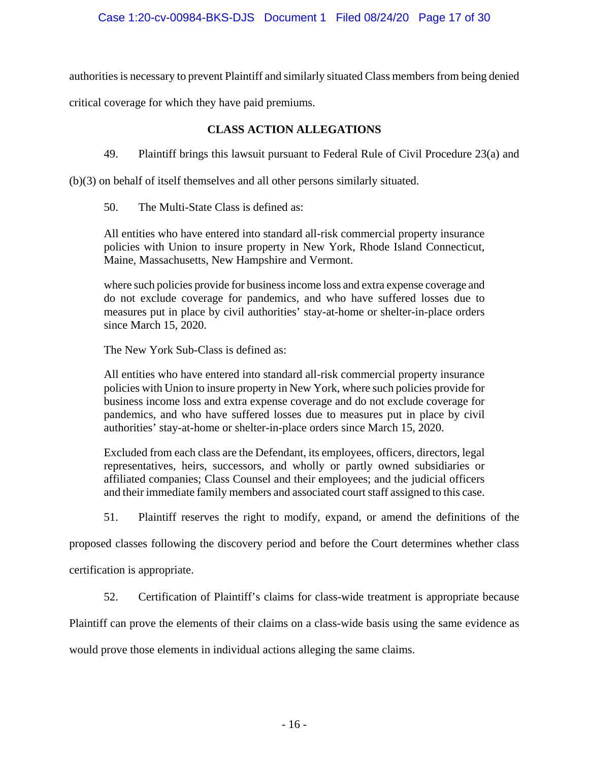authorities is necessary to prevent Plaintiff and similarly situated Class members from being denied

critical coverage for which they have paid premiums.

# **CLASS ACTION ALLEGATIONS**

49. Plaintiff brings this lawsuit pursuant to Federal Rule of Civil Procedure 23(a) and

(b)(3) on behalf of itself themselves and all other persons similarly situated.

50. The Multi-State Class is defined as:

All entities who have entered into standard all-risk commercial property insurance policies with Union to insure property in New York, Rhode Island Connecticut, Maine, Massachusetts, New Hampshire and Vermont.

where such policies provide for business income loss and extra expense coverage and do not exclude coverage for pandemics, and who have suffered losses due to measures put in place by civil authorities' stay-at-home or shelter-in-place orders since March 15, 2020.

The New York Sub-Class is defined as:

All entities who have entered into standard all-risk commercial property insurance policies with Union to insure property in New York, where such policies provide for business income loss and extra expense coverage and do not exclude coverage for pandemics, and who have suffered losses due to measures put in place by civil authorities' stay-at-home or shelter-in-place orders since March 15, 2020.

Excluded from each class are the Defendant, its employees, officers, directors, legal representatives, heirs, successors, and wholly or partly owned subsidiaries or affiliated companies; Class Counsel and their employees; and the judicial officers and their immediate family members and associated court staff assigned to this case.

51. Plaintiff reserves the right to modify, expand, or amend the definitions of the

proposed classes following the discovery period and before the Court determines whether class

certification is appropriate.

52. Certification of Plaintiff's claims for class-wide treatment is appropriate because

Plaintiff can prove the elements of their claims on a class-wide basis using the same evidence as

would prove those elements in individual actions alleging the same claims.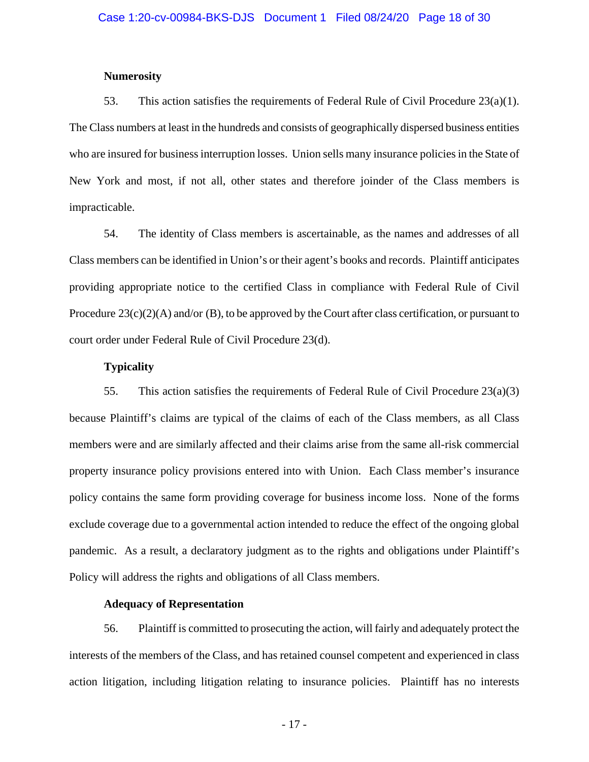#### **Numerosity**

53. This action satisfies the requirements of Federal Rule of Civil Procedure  $23(a)(1)$ . The Class numbers at least in the hundreds and consists of geographically dispersed business entities who are insured for business interruption losses. Union sells many insurance policies in the State of New York and most, if not all, other states and therefore joinder of the Class members is impracticable.

54. The identity of Class members is ascertainable, as the names and addresses of all Class members can be identified in Union's or their agent's books and records. Plaintiff anticipates providing appropriate notice to the certified Class in compliance with Federal Rule of Civil Procedure 23(c)(2)(A) and/or (B), to be approved by the Court after class certification, or pursuant to court order under Federal Rule of Civil Procedure 23(d).

#### **Typicality**

55. This action satisfies the requirements of Federal Rule of Civil Procedure 23(a)(3) because Plaintiff's claims are typical of the claims of each of the Class members, as all Class members were and are similarly affected and their claims arise from the same all-risk commercial property insurance policy provisions entered into with Union. Each Class member's insurance policy contains the same form providing coverage for business income loss. None of the forms exclude coverage due to a governmental action intended to reduce the effect of the ongoing global pandemic. As a result, a declaratory judgment as to the rights and obligations under Plaintiff's Policy will address the rights and obligations of all Class members.

#### **Adequacy of Representation**

56. Plaintiff is committed to prosecuting the action, will fairly and adequately protect the interests of the members of the Class, and has retained counsel competent and experienced in class action litigation, including litigation relating to insurance policies. Plaintiff has no interests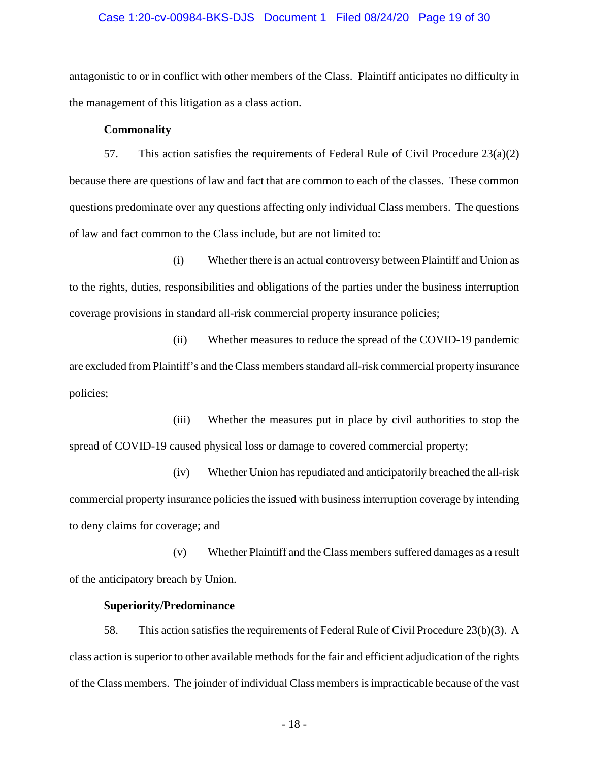#### Case 1:20-cv-00984-BKS-DJS Document 1 Filed 08/24/20 Page 19 of 30

antagonistic to or in conflict with other members of the Class. Plaintiff anticipates no difficulty in the management of this litigation as a class action.

#### **Commonality**

57. This action satisfies the requirements of Federal Rule of Civil Procedure  $23(a)(2)$ because there are questions of law and fact that are common to each of the classes. These common questions predominate over any questions affecting only individual Class members. The questions of law and fact common to the Class include, but are not limited to:

(i) Whether there is an actual controversy between Plaintiff and Union as to the rights, duties, responsibilities and obligations of the parties under the business interruption coverage provisions in standard all-risk commercial property insurance policies;

(ii) Whether measures to reduce the spread of the COVID-19 pandemic are excluded from Plaintiff's and the Class members standard all-risk commercial property insurance policies;

(iii) Whether the measures put in place by civil authorities to stop the spread of COVID-19 caused physical loss or damage to covered commercial property;

(iv) Whether Union has repudiated and anticipatorily breached the all-risk commercial property insurance policies the issued with business interruption coverage by intending to deny claims for coverage; and

(v) Whether Plaintiff and the Class members suffered damages as a result of the anticipatory breach by Union.

#### **Superiority/Predominance**

58. This action satisfies the requirements of Federal Rule of Civil Procedure 23(b)(3). A class action is superior to other available methods for the fair and efficient adjudication of the rights of the Class members. The joinder of individual Class members is impracticable because of the vast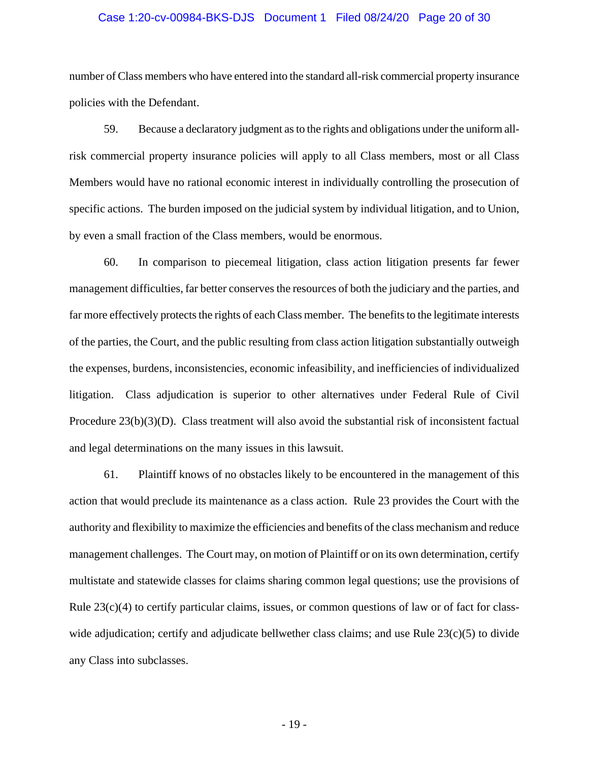#### Case 1:20-cv-00984-BKS-DJS Document 1 Filed 08/24/20 Page 20 of 30

number of Class members who have entered into the standard all-risk commercial property insurance policies with the Defendant.

59. Because a declaratory judgment as to the rights and obligations under the uniform allrisk commercial property insurance policies will apply to all Class members, most or all Class Members would have no rational economic interest in individually controlling the prosecution of specific actions. The burden imposed on the judicial system by individual litigation, and to Union, by even a small fraction of the Class members, would be enormous.

60. In comparison to piecemeal litigation, class action litigation presents far fewer management difficulties, far better conserves the resources of both the judiciary and the parties, and far more effectively protects the rights of each Class member. The benefits to the legitimate interests of the parties, the Court, and the public resulting from class action litigation substantially outweigh the expenses, burdens, inconsistencies, economic infeasibility, and inefficiencies of individualized litigation. Class adjudication is superior to other alternatives under Federal Rule of Civil Procedure  $23(b)(3)(D)$ . Class treatment will also avoid the substantial risk of inconsistent factual and legal determinations on the many issues in this lawsuit.

61. Plaintiff knows of no obstacles likely to be encountered in the management of this action that would preclude its maintenance as a class action. Rule 23 provides the Court with the authority and flexibility to maximize the efficiencies and benefits of the class mechanism and reduce management challenges. The Court may, on motion of Plaintiff or on its own determination, certify multistate and statewide classes for claims sharing common legal questions; use the provisions of Rule  $23(c)(4)$  to certify particular claims, issues, or common questions of law or of fact for classwide adjudication; certify and adjudicate bellwether class claims; and use Rule 23(c)(5) to divide any Class into subclasses.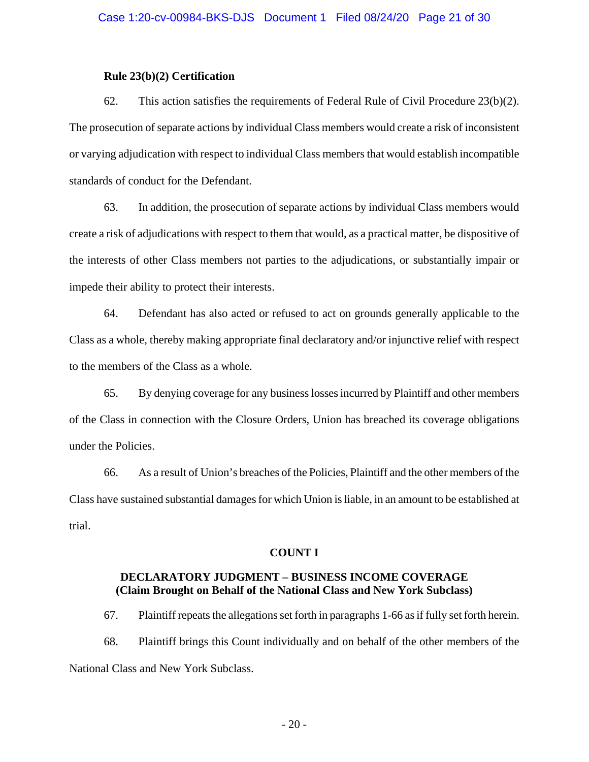#### **Rule 23(b)(2) Certification**

62. This action satisfies the requirements of Federal Rule of Civil Procedure  $23(b)(2)$ . The prosecution of separate actions by individual Class members would create a risk of inconsistent or varying adjudication with respect to individual Class members that would establish incompatible standards of conduct for the Defendant.

63. In addition, the prosecution of separate actions by individual Class members would create a risk of adjudications with respect to them that would, as a practical matter, be dispositive of the interests of other Class members not parties to the adjudications, or substantially impair or impede their ability to protect their interests.

64. Defendant has also acted or refused to act on grounds generally applicable to the Class as a whole, thereby making appropriate final declaratory and/or injunctive relief with respect to the members of the Class as a whole.

65. By denying coverage for any business losses incurred by Plaintiff and other members of the Class in connection with the Closure Orders, Union has breached its coverage obligations under the Policies.

66. As a result of Union's breaches of the Policies, Plaintiff and the other members of the Class have sustained substantial damages for which Union is liable, in an amount to be established at trial.

#### **COUNT I**

# **DECLARATORY JUDGMENT – BUSINESS INCOME COVERAGE (Claim Brought on Behalf of the National Class and New York Subclass)**

67. Plaintiff repeats the allegations set forth in paragraphs 1-66 as if fully set forth herein. 68. Plaintiff brings this Count individually and on behalf of the other members of the National Class and New York Subclass.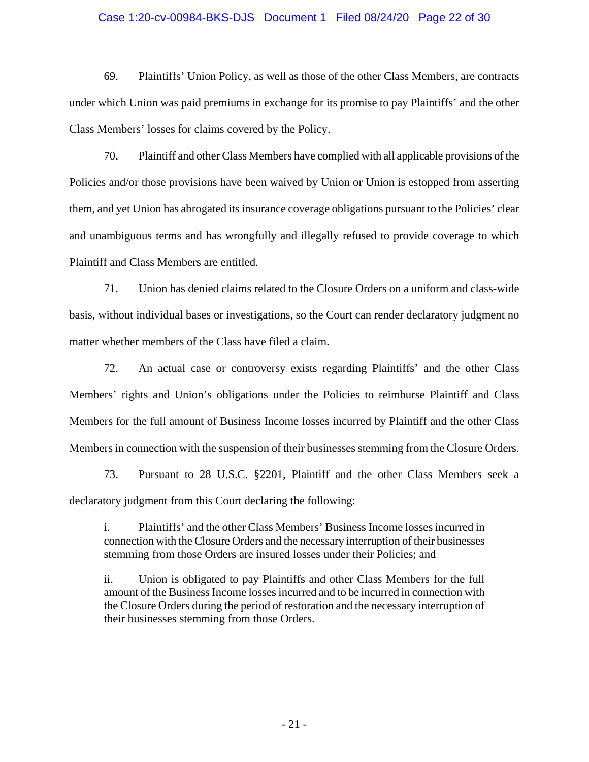#### Case 1:20-cv-00984-BKS-DJS Document 1 Filed 08/24/20 Page 22 of 30

69. Plaintiffs' Union Policy, as well as those of the other Class Members, are contracts under which Union was paid premiums in exchange for its promise to pay Plaintiffs' and the other Class Members' losses for claims covered by the Policy.

70. Plaintiff and other Class Members have complied with all applicable provisions of the Policies and/or those provisions have been waived by Union or Union is estopped from asserting them, and yet Union has abrogated its insurance coverage obligations pursuant to the Policies' clear and unambiguous terms and has wrongfully and illegally refused to provide coverage to which Plaintiff and Class Members are entitled.

71. Union has denied claims related to the Closure Orders on a uniform and class-wide basis, without individual bases or investigations, so the Court can render declaratory judgment no matter whether members of the Class have filed a claim.

72. An actual case or controversy exists regarding Plaintiffs' and the other Class Members' rights and Union's obligations under the Policies to reimburse Plaintiff and Class Members for the full amount of Business Income losses incurred by Plaintiff and the other Class Members in connection with the suspension of their businesses stemming from the Closure Orders.

73. Pursuant to 28 U.S.C. §2201, Plaintiff and the other Class Members seek a declaratory judgment from this Court declaring the following:

i. Plaintiffs' and the other Class Members' Business Income losses incurred in connection with the Closure Orders and the necessary interruption of their businesses stemming from those Orders are insured losses under their Policies; and

ii. Union is obligated to pay Plaintiffs and other Class Members for the full amount of the Business Income losses incurred and to be incurred in connection with the Closure Orders during the period of restoration and the necessary interruption of their businesses stemming from those Orders.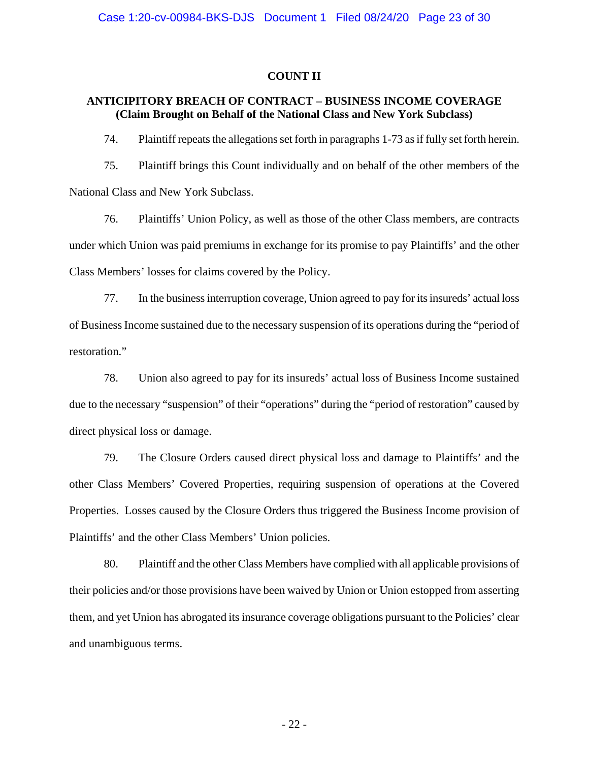#### **COUNT II**

# **ANTICIPITORY BREACH OF CONTRACT – BUSINESS INCOME COVERAGE (Claim Brought on Behalf of the National Class and New York Subclass)**

74. Plaintiff repeats the allegations set forth in paragraphs 1-73 as if fully set forth herein.

75. Plaintiff brings this Count individually and on behalf of the other members of the National Class and New York Subclass.

76. Plaintiffs' Union Policy, as well as those of the other Class members, are contracts under which Union was paid premiums in exchange for its promise to pay Plaintiffs' and the other Class Members' losses for claims covered by the Policy.

77. In the business interruption coverage, Union agreed to pay for its insureds' actual loss of Business Income sustained due to the necessary suspension of its operations during the "period of restoration."

78. Union also agreed to pay for its insureds' actual loss of Business Income sustained due to the necessary "suspension" of their "operations" during the "period of restoration" caused by direct physical loss or damage.

79. The Closure Orders caused direct physical loss and damage to Plaintiffs' and the other Class Members' Covered Properties, requiring suspension of operations at the Covered Properties. Losses caused by the Closure Orders thus triggered the Business Income provision of Plaintiffs' and the other Class Members' Union policies.

80. Plaintiff and the other Class Members have complied with all applicable provisions of their policies and/or those provisions have been waived by Union or Union estopped from asserting them, and yet Union has abrogated its insurance coverage obligations pursuant to the Policies' clear and unambiguous terms.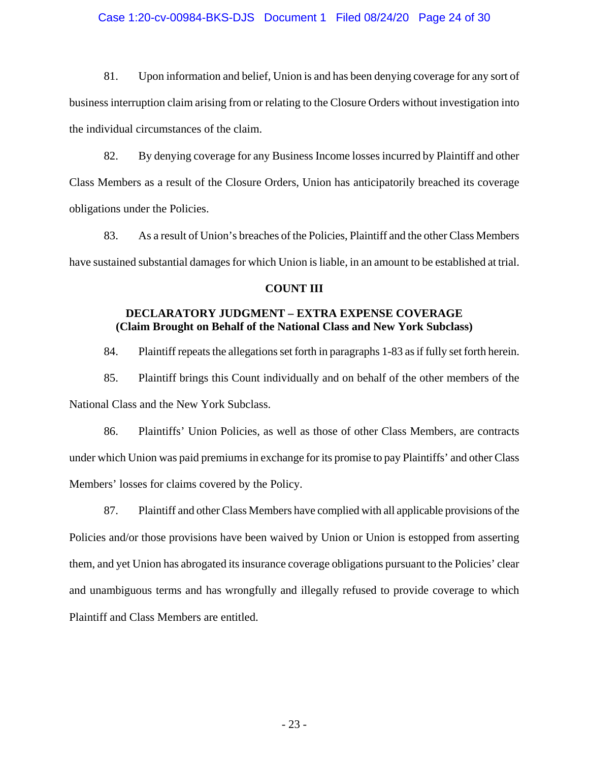#### Case 1:20-cv-00984-BKS-DJS Document 1 Filed 08/24/20 Page 24 of 30

81. Upon information and belief, Union is and has been denying coverage for any sort of business interruption claim arising from or relating to the Closure Orders without investigation into the individual circumstances of the claim.

82. By denying coverage for any Business Income losses incurred by Plaintiff and other Class Members as a result of the Closure Orders, Union has anticipatorily breached its coverage obligations under the Policies.

83. As a result of Union's breaches of the Policies, Plaintiff and the other Class Members have sustained substantial damages for which Union is liable, in an amount to be established at trial.

#### **COUNT III**

# **DECLARATORY JUDGMENT – EXTRA EXPENSE COVERAGE (Claim Brought on Behalf of the National Class and New York Subclass)**

84. Plaintiff repeats the allegations set forth in paragraphs 1-83 as if fully set forth herein.

85. Plaintiff brings this Count individually and on behalf of the other members of the National Class and the New York Subclass.

86. Plaintiffs' Union Policies, as well as those of other Class Members, are contracts under which Union was paid premiums in exchange for its promise to pay Plaintiffs' and other Class Members' losses for claims covered by the Policy.

87. Plaintiff and other Class Members have complied with all applicable provisions of the Policies and/or those provisions have been waived by Union or Union is estopped from asserting them, and yet Union has abrogated its insurance coverage obligations pursuant to the Policies' clear and unambiguous terms and has wrongfully and illegally refused to provide coverage to which Plaintiff and Class Members are entitled.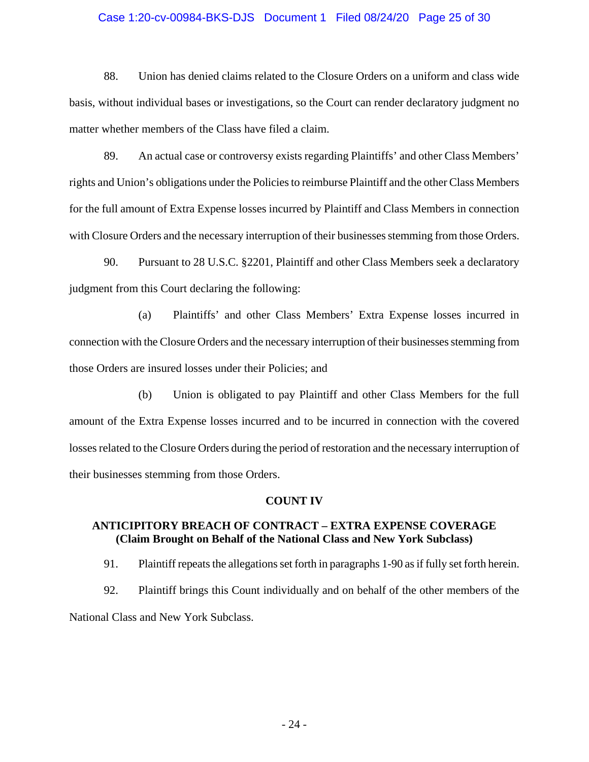#### Case 1:20-cv-00984-BKS-DJS Document 1 Filed 08/24/20 Page 25 of 30

88. Union has denied claims related to the Closure Orders on a uniform and class wide basis, without individual bases or investigations, so the Court can render declaratory judgment no matter whether members of the Class have filed a claim.

89. An actual case or controversy exists regarding Plaintiffs' and other Class Members' rights and Union's obligations under the Policies to reimburse Plaintiff and the other Class Members for the full amount of Extra Expense losses incurred by Plaintiff and Class Members in connection with Closure Orders and the necessary interruption of their businesses stemming from those Orders.

90. Pursuant to 28 U.S.C. §2201, Plaintiff and other Class Members seek a declaratory judgment from this Court declaring the following:

(a) Plaintiffs' and other Class Members' Extra Expense losses incurred in connection with the Closure Orders and the necessary interruption of their businesses stemming from those Orders are insured losses under their Policies; and

(b) Union is obligated to pay Plaintiff and other Class Members for the full amount of the Extra Expense losses incurred and to be incurred in connection with the covered losses related to the Closure Orders during the period of restoration and the necessary interruption of their businesses stemming from those Orders.

#### **COUNT IV**

# **ANTICIPITORY BREACH OF CONTRACT – EXTRA EXPENSE COVERAGE (Claim Brought on Behalf of the National Class and New York Subclass)**

91. Plaintiff repeats the allegations set forth in paragraphs 1-90 as if fully set forth herein.

92. Plaintiff brings this Count individually and on behalf of the other members of the National Class and New York Subclass.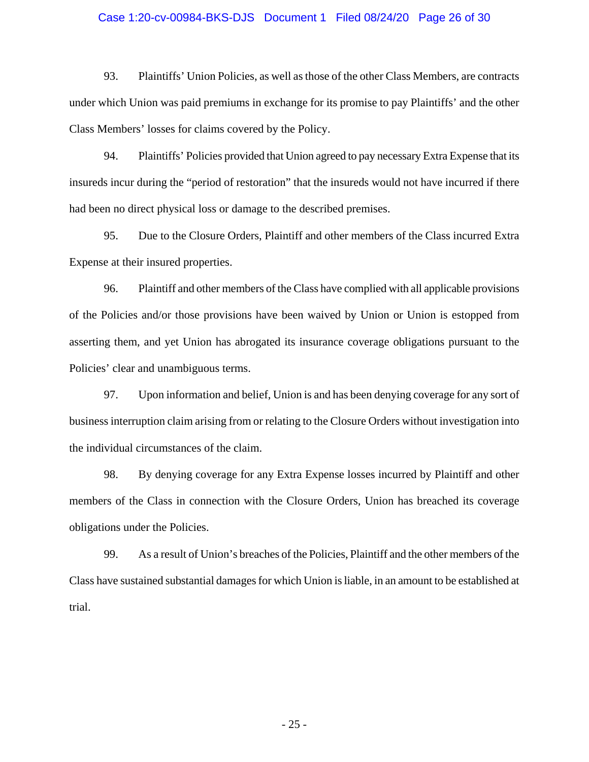#### Case 1:20-cv-00984-BKS-DJS Document 1 Filed 08/24/20 Page 26 of 30

93. Plaintiffs' Union Policies, as well as those of the other Class Members, are contracts under which Union was paid premiums in exchange for its promise to pay Plaintiffs' and the other Class Members' losses for claims covered by the Policy.

94. Plaintiffs' Policies provided that Union agreed to pay necessary Extra Expense that its insureds incur during the "period of restoration" that the insureds would not have incurred if there had been no direct physical loss or damage to the described premises.

95. Due to the Closure Orders, Plaintiff and other members of the Class incurred Extra Expense at their insured properties.

96. Plaintiff and other members of the Class have complied with all applicable provisions of the Policies and/or those provisions have been waived by Union or Union is estopped from asserting them, and yet Union has abrogated its insurance coverage obligations pursuant to the Policies' clear and unambiguous terms.

97. Upon information and belief, Union is and has been denying coverage for any sort of business interruption claim arising from or relating to the Closure Orders without investigation into the individual circumstances of the claim.

98. By denying coverage for any Extra Expense losses incurred by Plaintiff and other members of the Class in connection with the Closure Orders, Union has breached its coverage obligations under the Policies.

99. As a result of Union's breaches of the Policies, Plaintiff and the other members of the Class have sustained substantial damages for which Union is liable, in an amount to be established at trial.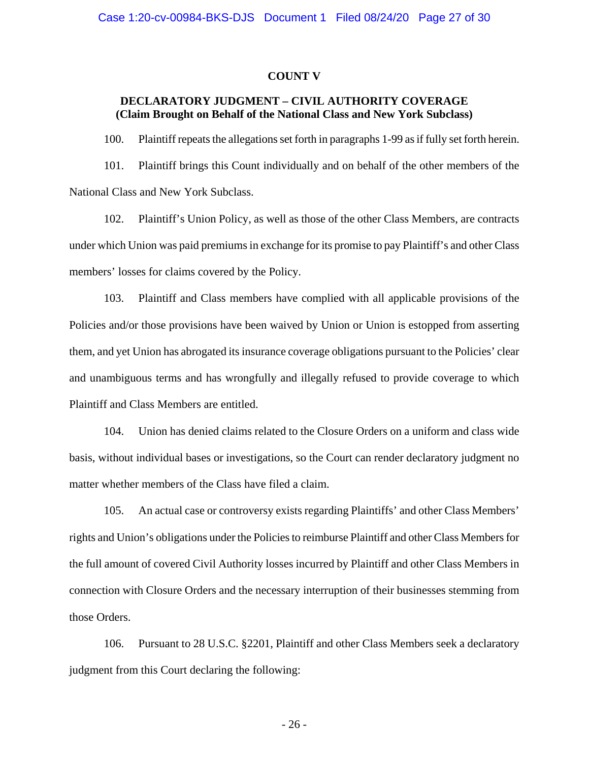#### **COUNT V**

# **DECLARATORY JUDGMENT – CIVIL AUTHORITY COVERAGE (Claim Brought on Behalf of the National Class and New York Subclass)**

100. Plaintiff repeats the allegations set forth in paragraphs 1-99 as if fully set forth herein.

101. Plaintiff brings this Count individually and on behalf of the other members of the National Class and New York Subclass.

102. Plaintiff's Union Policy, as well as those of the other Class Members, are contracts under which Union was paid premiums in exchange for its promise to pay Plaintiff's and other Class members' losses for claims covered by the Policy.

103. Plaintiff and Class members have complied with all applicable provisions of the Policies and/or those provisions have been waived by Union or Union is estopped from asserting them, and yet Union has abrogated its insurance coverage obligations pursuant to the Policies' clear and unambiguous terms and has wrongfully and illegally refused to provide coverage to which Plaintiff and Class Members are entitled.

104. Union has denied claims related to the Closure Orders on a uniform and class wide basis, without individual bases or investigations, so the Court can render declaratory judgment no matter whether members of the Class have filed a claim.

105. An actual case or controversy exists regarding Plaintiffs' and other Class Members' rights and Union's obligations under the Policies to reimburse Plaintiff and other Class Members for the full amount of covered Civil Authority losses incurred by Plaintiff and other Class Members in connection with Closure Orders and the necessary interruption of their businesses stemming from those Orders.

106. Pursuant to 28 U.S.C. §2201, Plaintiff and other Class Members seek a declaratory judgment from this Court declaring the following: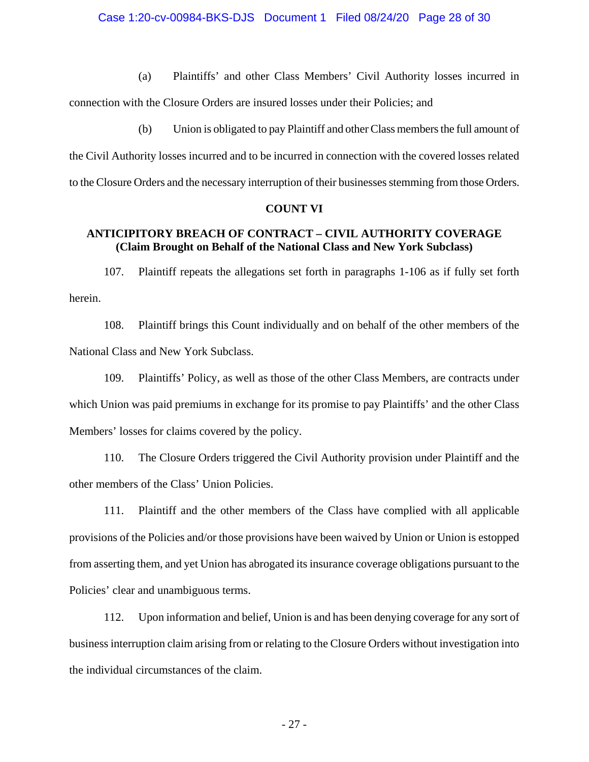(a) Plaintiffs' and other Class Members' Civil Authority losses incurred in

connection with the Closure Orders are insured losses under their Policies; and

(b) Union is obligated to pay Plaintiff and other Class members the full amount of the Civil Authority losses incurred and to be incurred in connection with the covered losses related to the Closure Orders and the necessary interruption of their businesses stemming from those Orders.

#### **COUNT VI**

# **ANTICIPITORY BREACH OF CONTRACT – CIVIL AUTHORITY COVERAGE (Claim Brought on Behalf of the National Class and New York Subclass)**

107. Plaintiff repeats the allegations set forth in paragraphs 1-106 as if fully set forth herein.

108. Plaintiff brings this Count individually and on behalf of the other members of the National Class and New York Subclass.

109. Plaintiffs' Policy, as well as those of the other Class Members, are contracts under which Union was paid premiums in exchange for its promise to pay Plaintiffs' and the other Class Members' losses for claims covered by the policy.

110. The Closure Orders triggered the Civil Authority provision under Plaintiff and the other members of the Class' Union Policies.

111. Plaintiff and the other members of the Class have complied with all applicable provisions of the Policies and/or those provisions have been waived by Union or Union is estopped from asserting them, and yet Union has abrogated its insurance coverage obligations pursuant to the Policies' clear and unambiguous terms.

112. Upon information and belief, Union is and has been denying coverage for any sort of business interruption claim arising from or relating to the Closure Orders without investigation into the individual circumstances of the claim.

- 27 -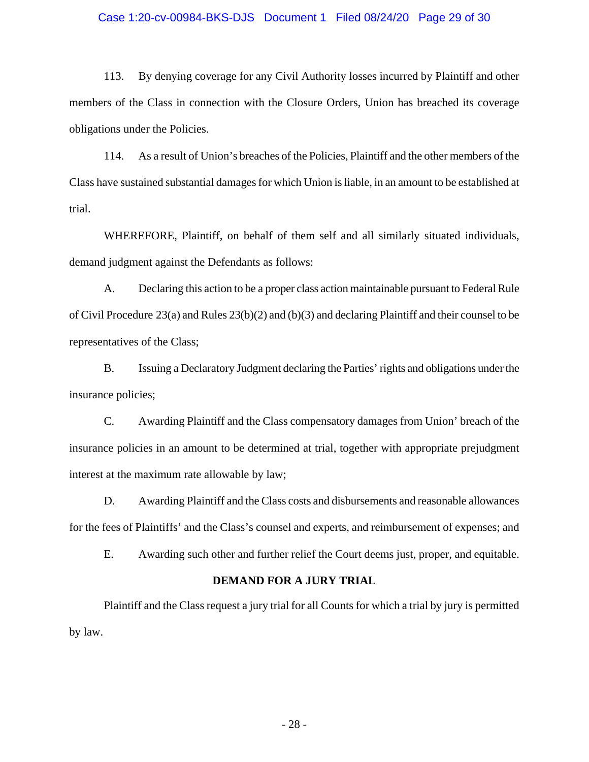#### Case 1:20-cv-00984-BKS-DJS Document 1 Filed 08/24/20 Page 29 of 30

113. By denying coverage for any Civil Authority losses incurred by Plaintiff and other members of the Class in connection with the Closure Orders, Union has breached its coverage obligations under the Policies.

114. As a result of Union's breaches of the Policies, Plaintiff and the other members of the Class have sustained substantial damages for which Union is liable, in an amount to be established at trial.

WHEREFORE, Plaintiff, on behalf of them self and all similarly situated individuals, demand judgment against the Defendants as follows:

A. Declaring this action to be a proper class action maintainable pursuant to Federal Rule of Civil Procedure 23(a) and Rules 23(b)(2) and (b)(3) and declaring Plaintiff and their counsel to be representatives of the Class;

B. Issuing a Declaratory Judgment declaring the Parties' rights and obligations under the insurance policies;

C. Awarding Plaintiff and the Class compensatory damages from Union' breach of the insurance policies in an amount to be determined at trial, together with appropriate prejudgment interest at the maximum rate allowable by law;

D. Awarding Plaintiff and the Class costs and disbursements and reasonable allowances for the fees of Plaintiffs' and the Class's counsel and experts, and reimbursement of expenses; and

E. Awarding such other and further relief the Court deems just, proper, and equitable.

#### **DEMAND FOR A JURY TRIAL**

Plaintiff and the Class request a jury trial for all Counts for which a trial by jury is permitted by law.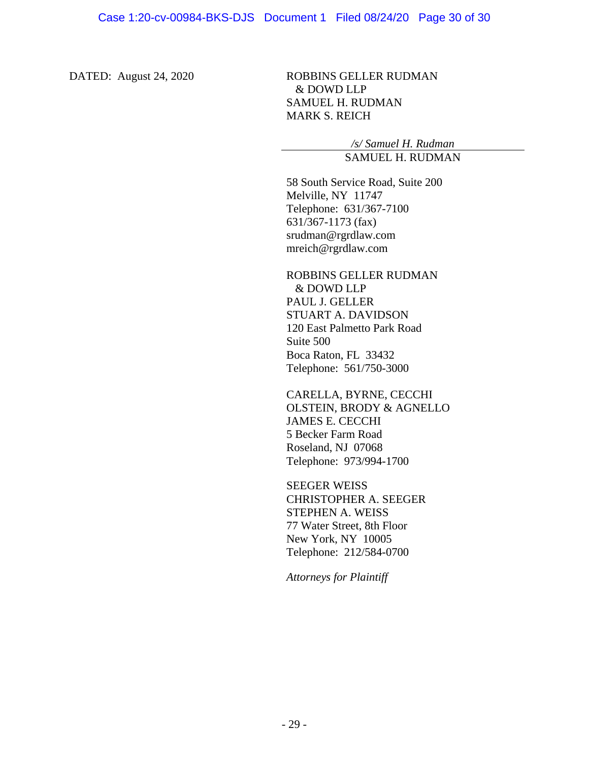DATED: August 24, 2020 ROBBINS GELLER RUDMAN & DOWD LLP SAMUEL H. RUDMAN MARK S. REICH

> */s/ Samuel H. Rudman* SAMUEL H. RUDMAN

58 South Service Road, Suite 200 Melville, NY 11747 Telephone: 631/367-7100 631/367-1173 (fax) srudman@rgrdlaw.com mreich@rgrdlaw.com

ROBBINS GELLER RUDMAN & DOWD LLP PAUL J. GELLER STUART A. DAVIDSON 120 East Palmetto Park Road Suite 500 Boca Raton, FL 33432 Telephone: 561/750-3000

CARELLA, BYRNE, CECCHI OLSTEIN, BRODY & AGNELLO JAMES E. CECCHI 5 Becker Farm Road Roseland, NJ 07068 Telephone: 973/994-1700

SEEGER WEISS CHRISTOPHER A. SEEGER STEPHEN A. WEISS 77 Water Street, 8th Floor New York, NY 10005 Telephone: 212/584-0700

*Attorneys for Plaintiff*